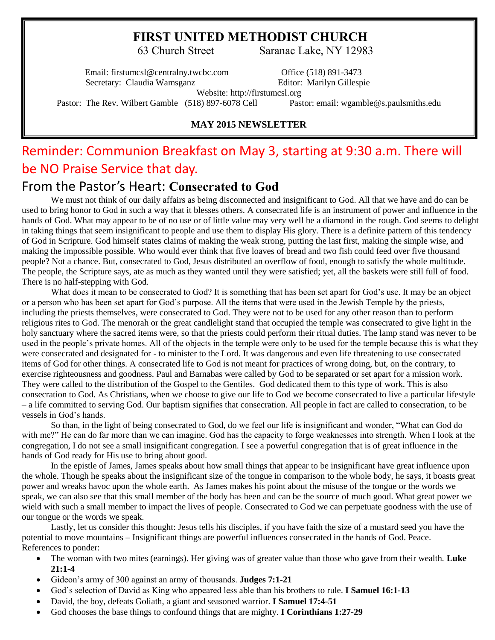# **FIRST UNITED METHODIST CHURCH**

63 Church Street Saranac Lake, NY 12983

Email: firstumcsl@centralny.twcbc.com Office (518) 891-3473 Secretary: Claudia Wamsganz **Editor: Marilyn Gillespie** 

Website: http://firstumcsl.org

Pastor: The Rev. Wilbert Gamble (518) 897-6078 Cell Pastor: email: wgamble@s.paulsmiths.edu

### **MAY 2015 NEWSLETTER**

# Reminder: Communion Breakfast on May 3, starting at 9:30 a.m. There will be NO Praise Service that day.

# From the Pastor's Heart: **Consecrated to God**

We must not think of our daily affairs as being disconnected and insignificant to God. All that we have and do can be used to bring honor to God in such a way that it blesses others. A consecrated life is an instrument of power and influence in the hands of God. What may appear to be of no use or of little value may very well be a diamond in the rough. God seems to delight in taking things that seem insignificant to people and use them to display His glory. There is a definite pattern of this tendency of God in Scripture. God himself states claims of making the weak strong, putting the last first, making the simple wise, and making the impossible possible. Who would ever think that five loaves of bread and two fish could feed over five thousand people? Not a chance. But, consecrated to God, Jesus distributed an overflow of food, enough to satisfy the whole multitude. The people, the Scripture says, ate as much as they wanted until they were satisfied; yet, all the baskets were still full of food. There is no half-stepping with God.

What does it mean to be consecrated to God? It is something that has been set apart for God's use. It may be an object or a person who has been set apart for God's purpose. All the items that were used in the Jewish Temple by the priests, including the priests themselves, were consecrated to God. They were not to be used for any other reason than to perform religious rites to God. The menorah or the great candlelight stand that occupied the temple was consecrated to give light in the holy sanctuary where the sacred items were, so that the priests could perform their ritual duties. The lamp stand was never to be used in the people's private homes. All of the objects in the temple were only to be used for the temple because this is what they were consecrated and designated for - to minister to the Lord. It was dangerous and even life threatening to use consecrated items of God for other things. A consecrated life to God is not meant for practices of wrong doing, but, on the contrary, to exercise righteousness and goodness. Paul and Barnabas were called by God to be separated or set apart for a mission work. They were called to the distribution of the Gospel to the Gentiles. God dedicated them to this type of work. This is also consecration to God. As Christians, when we choose to give our life to God we become consecrated to live a particular lifestyle – a life committed to serving God. Our baptism signifies that consecration. All people in fact are called to consecration, to be vessels in God's hands.

So than, in the light of being consecrated to God, do we feel our life is insignificant and wonder, "What can God do with me?" He can do far more than we can imagine. God has the capacity to forge weaknesses into strength. When I look at the congregation, I do not see a small insignificant congregation. I see a powerful congregation that is of great influence in the hands of God ready for His use to bring about good.

In the epistle of James, James speaks about how small things that appear to be insignificant have great influence upon the whole. Though he speaks about the insignificant size of the tongue in comparison to the whole body, he says, it boasts great power and wreaks havoc upon the whole earth. As James makes his point about the misuse of the tongue or the words we speak, we can also see that this small member of the body has been and can be the source of much good. What great power we wield with such a small member to impact the lives of people. Consecrated to God we can perpetuate goodness with the use of our tongue or the words we speak.

Lastly, let us consider this thought: Jesus tells his disciples, if you have faith the size of a mustard seed you have the potential to move mountains – Insignificant things are powerful influences consecrated in the hands of God. Peace. References to ponder:

- The woman with two mites (earnings). Her giving was of greater value than those who gave from their wealth. **Luke 21:1-4**
- Gideon's army of 300 against an army of thousands. **Judges 7:1-21**
- God's selection of David as King who appeared less able than his brothers to rule. **I Samuel 16:1-13**
- David, the boy, defeats Goliath, a giant and seasoned warrior. **I Samuel 17:4-51**
- God chooses the base things to confound things that are mighty. **I Corinthians 1:27-29**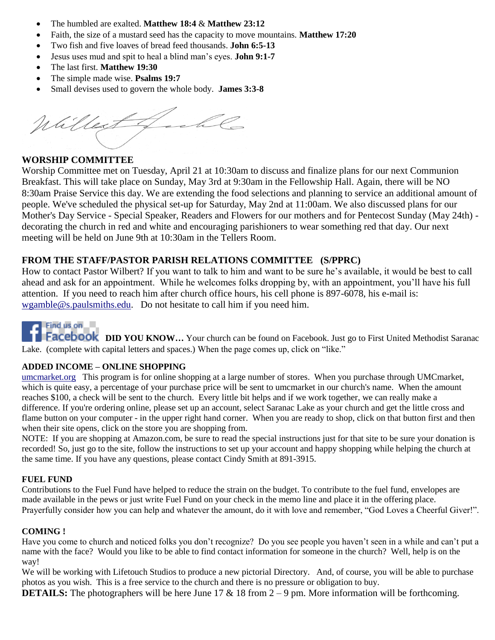- The humbled are exalted. **Matthew 18:4** & **Matthew 23:12**
- Faith, the size of a mustard seed has the capacity to move mountains. **Matthew 17:20**
- Two fish and five loaves of bread feed thousands. **John 6:5-13**
- Jesus uses mud and spit to heal a blind man's eyes. **John 9:1-7**
- The last first. **Matthew 19:30**
- The simple made wise. **Psalms 19:7**
- Small devises used to govern the whole body. **James 3:3-8**

Willest fachle

## **WORSHIP COMMITTEE**

Worship Committee met on Tuesday, April 21 at 10:30am to discuss and finalize plans for our next Communion Breakfast. This will take place on Sunday, May 3rd at 9:30am in the Fellowship Hall. Again, there will be NO 8:30am Praise Service this day. We are extending the food selections and planning to service an additional amount of people. We've scheduled the physical set-up for Saturday, May 2nd at 11:00am. We also discussed plans for our Mother's Day Service - Special Speaker, Readers and Flowers for our mothers and for Pentecost Sunday (May 24th) decorating the church in red and white and encouraging parishioners to wear something red that day. Our next meeting will be held on June 9th at 10:30am in the Tellers Room.

## **FROM THE STAFF/PASTOR PARISH RELATIONS COMMITTEE (S/PPRC)**

How to contact Pastor Wilbert? If you want to talk to him and want to be sure he's available, it would be best to call ahead and ask for an appointment. While he welcomes folks dropping by, with an appointment, you'll have his full attention. If you need to reach him after church office hours, his cell phone is 897-6078, his e-mail is: [wgamble@s.paulsmiths.edu.](mailto:wgamble@s.paulsmiths.edu) Do not hesitate to call him if you need him.

# $Findus on$

**Facebook** DID YOU KNOW... Your church can be found on Facebook. Just go to First United Methodist Saranac Lake. (complete with capital letters and spaces.) When the page comes up, click on "like."

### **ADDED INCOME – ONLINE SHOPPING**

[umcmarket.org](http://umcmarket.org/) This program is for online shopping at a large number of stores. When you purchase through UMCmarket, which is quite easy, a percentage of your purchase price will be sent to umcmarket in our church's name. When the amount reaches \$100, a check will be sent to the church. Every little bit helps and if we work together, we can really make a difference. If you're ordering online, please set up an account, select Saranac Lake as your church and get the little cross and flame button on your computer - in the upper right hand corner. When you are ready to shop, click on that button first and then when their site opens, click on the store you are shopping from.

NOTE: If you are shopping at Amazon.com, be sure to read the special instructions just for that site to be sure your donation is recorded! So, just go to the site, follow the instructions to set up your account and happy shopping while helping the church at the same time. If you have any questions, please contact Cindy Smith at 891-3915.

#### **FUEL FUND**

Contributions to the Fuel Fund have helped to reduce the strain on the budget. To contribute to the fuel fund, envelopes are made available in the pews or just write Fuel Fund on your check in the memo line and place it in the offering place. Prayerfully consider how you can help and whatever the amount, do it with love and remember, "God Loves a Cheerful Giver!".

#### **COMING !**

Have you come to church and noticed folks you don't recognize? Do you see people you haven't seen in a while and can't put a name with the face? Would you like to be able to find contact information for someone in the church? Well, help is on the way!

We will be working with Lifetouch Studios to produce a new pictorial Directory. And, of course, you will be able to purchase photos as you wish. This is a free service to the church and there is no pressure or obligation to buy.

**DETAILS:** The photographers will be here June 17 & 18 from 2 – 9 pm. More information will be forthcoming.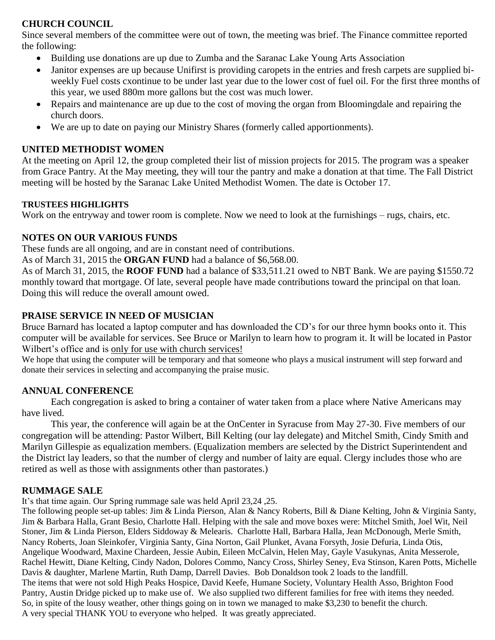## **CHURCH COUNCIL**

Since several members of the committee were out of town, the meeting was brief. The Finance committee reported the following:

- Building use donations are up due to Zumba and the Saranac Lake Young Arts Association
- Janitor expenses are up because Unifirst is providing caropets in the entries and fresh carpets are supplied biweekly Fuel costs cxontinue to be under last year due to the lower cost of fuel oil. For the first three months of this year, we used 880m more gallons but the cost was much lower.
- Repairs and maintenance are up due to the cost of moving the organ from Bloomingdale and repairing the church doors.
- We are up to date on paying our Ministry Shares (formerly called apportionments).

## **UNITED METHODIST WOMEN**

At the meeting on April 12, the group completed their list of mission projects for 2015. The program was a speaker from Grace Pantry. At the May meeting, they will tour the pantry and make a donation at that time. The Fall District meeting will be hosted by the Saranac Lake United Methodist Women. The date is October 17.

## **TRUSTEES HIGHLIGHTS**

Work on the entryway and tower room is complete. Now we need to look at the furnishings – rugs, chairs, etc.

# **NOTES ON OUR VARIOUS FUNDS**

These funds are all ongoing, and are in constant need of contributions.

As of March 31, 2015 the **ORGAN FUND** had a balance of \$6,568.00.

As of March 31, 2015, the **ROOF FUND** had a balance of \$33,511.21 owed to NBT Bank. We are paying \$1550.72 monthly toward that mortgage. Of late, several people have made contributions toward the principal on that loan. Doing this will reduce the overall amount owed.

# **PRAISE SERVICE IN NEED OF MUSICIAN**

Bruce Barnard has located a laptop computer and has downloaded the CD's for our three hymn books onto it. This computer will be available for services. See Bruce or Marilyn to learn how to program it. It will be located in Pastor Wilbert's office and is only for use with church services!

We hope that using the computer will be temporary and that someone who plays a musical instrument will step forward and donate their services in selecting and accompanying the praise music.

# **ANNUAL CONFERENCE**

Each congregation is asked to bring a container of water taken from a place where Native Americans may have lived.

This year, the conference will again be at the OnCenter in Syracuse from May 27-30. Five members of our congregation will be attending: Pastor Wilbert, Bill Kelting (our lay delegate) and Mitchel Smith, Cindy Smith and Marilyn Gillespie as equalization members. (Equalization members are selected by the District Superintendent and the District lay leaders, so that the number of clergy and number of laity are equal. Clergy includes those who are retired as well as those with assignments other than pastorates.)

## **RUMMAGE SALE**

It's that time again. Our Spring rummage sale was held April 23,24 ,25.

The following people set-up tables: Jim & Linda Pierson, Alan & Nancy Roberts, Bill & Diane Kelting, John & Virginia Santy, Jim & Barbara Halla, Grant Besio, Charlotte Hall. Helping with the sale and move boxes were: Mitchel Smith, Joel Wit, Neil Stoner, Jim & Linda Pierson, Elders Siddoway & Melearis. Charlotte Hall, Barbara Halla, Jean McDonough, Merle Smith, Nancy Roberts, Joan Sleinkofer, Virginia Santy, Gina Norton, Gail Plunket, Avana Forsyth, Josie Defuria, Linda Otis, Angelique Woodward, Maxine Chardeen, Jessie Aubin, Eileen McCalvin, Helen May, Gayle Vasukynas, Anita Messerole, Rachel Hewitt, Diane Kelting, Cindy Nadon, Dolores Commo, Nancy Cross, Shirley Seney, Eva Stinson, Karen Potts, Michelle Davis & daughter, Marlene Martin, Ruth Damp, Darrell Davies. Bob Donaldson took 2 loads to the landfill. The items that were not sold High Peaks Hospice, David Keefe, Humane Society, Voluntary Health Asso, Brighton Food Pantry, Austin Dridge picked up to make use of. We also supplied two different families for free with items they needed. So, in spite of the lousy weather, other things going on in town we managed to make \$3,230 to benefit the church. A very special THANK YOU to everyone who helped. It was greatly appreciated.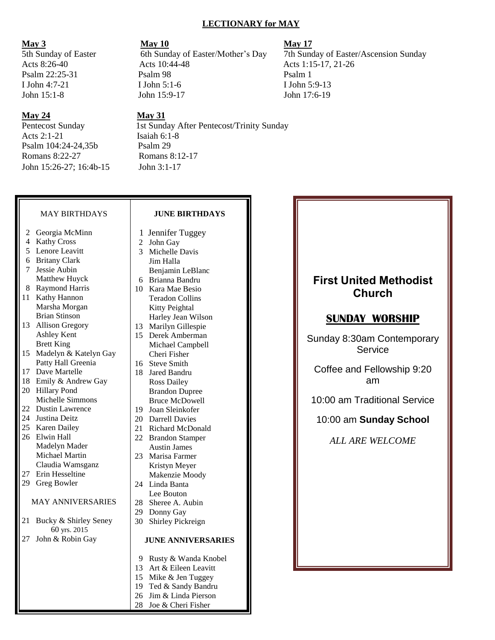#### **LECTIONARY for MAY**

#### **May 24 May 31**

Acts 2:1-21 Isaiah 6:1-8 Psalm 104:24-24,35b Psalm 29 Romans 8:22-27 Romans 8:12-17 John 15:26-27; 16:4b-15 John 3:1-17

**May 3 May 10 May 10** Acts 8:26-40 Acts 10:44-48 Acts 1:15-17, 21-26 Psalm 22:25-31 Psalm 98 Psalm 1 I John 4:7-21 I John 5:1-6 I John 5:9-13 John 15:1-8 John 15:9-17 John 17:6-19

Pentecost Sunday 1st Sunday After Pentecost/Trinity Sunday

#### MAY BIRTHDAYS

- 2 Georgia McMinn
- 4 Kathy Cross
- 5 Lenore Leavitt
- 6 Britany Clark
- 7 Jessie Aubin Matthew Huyck
- 8 Raymond Harris
- 11 Kathy Hannon Marsha Morgan Brian Stinson
- 13 Allison Gregory Ashley Kent Brett King
- 15 Madelyn & Katelyn Gay Patty Hall Greenia
- 17 Dave Martelle
- 18 Emily & Andrew Gay
- 20 Hillary Pond Michelle Simmons
- 22 Dustin Lawrence
- 24 Justina Deitz
- 25 Karen Dailey
- 26 Elwin Hall Madelyn Mader Michael Martin Claudia Wamsganz
- 27 Erin Hesseltine
- 29 Greg Bowler

#### MAY ANNIVERSARIES

- 21 Bucky & Shirley Seney 60 yrs. 2015
- 27 John & Robin Gay

# **JUNE BIRTHDAYS**

- 1 Jennifer Tuggey
- 2 John Gay
- 3 Michelle Davis Jim Halla Benjamin LeBlanc
- 6 Brianna Bandru
- 10 Kara Mae Besio Teradon Collins Kitty Peightal Harley Jean Wilson
- 13 Marilyn Gillespie
- 15 Derek Amberman Michael Campbell Cheri Fisher
- 16 Steve Smith
- 18 Jared Bandru Ross Dailey Brandon Dupree Bruce McDowell
- 19 Joan Sleinkofer
- 20 Darrell Davies
- 21 Richard McDonald 22 Brandon Stamper
- Austin James 23 Marisa Farmer
- Kristyn Meyer Makenzie Moody
- 24 Linda Banta Lee Bouton
- 28 Sheree A. Aubin
- 29 Donny Gay
- 30 Shirley Pickreign

#### **JUNE ANNIVERSARIES**

- 9 Rusty & Wanda Knobel
- 13 Art & Eileen Leavitt
- 15 Mike & Jen Tuggey
- 19 Ted & Sandy Bandru 26 Jim & Linda Pierson
- 28 Joe & Cheri Fisher
- 

5th Sunday of Easter 6th Sunday of Easter/Mother's Day 7th Sunday of Easter/Ascension Sunday

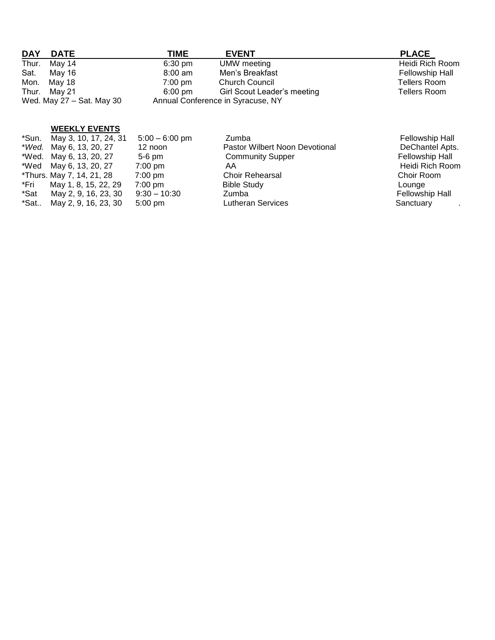| <b>DAY</b><br><b>DATE</b> | TIME              | <b>EVENT</b>                      | <b>PLACE</b>           |
|---------------------------|-------------------|-----------------------------------|------------------------|
| Thur.<br>May 14           | $6:30 \text{ pm}$ | UMW meeting                       | Heidi Rich Room        |
| Sat.<br>May 16            | $8:00$ am         | Men's Breakfast                   | <b>Fellowship Hall</b> |
| Mon.<br>May 18            | $7:00 \text{ pm}$ | <b>Church Council</b>             | Tellers Room           |
| Thur. May 21              | $6:00 \text{ pm}$ | Girl Scout Leader's meeting       | Tellers Room           |
| Wed. May 27 - Sat. May 30 |                   | Annual Conference in Syracuse, NY |                        |

## **WEEKLY EVENTS**

| *Sun. May 3, 10, 17, 24, 31 | $5:00 - 6:00$ pm  | Zumba                          | <b>Fellowship Hall</b> |
|-----------------------------|-------------------|--------------------------------|------------------------|
| *Wed. May 6, 13, 20, 27     | 12 noon           | Pastor Wilbert Noon Devotional | DeChantel Apts.        |
| *Wed. May 6, 13, 20, 27     | $5-6$ pm          | <b>Community Supper</b>        | <b>Fellowship Hall</b> |
| *Wed May 6, 13, 20, 27      | $7:00 \text{ pm}$ | AA                             | Heidi Rich Room        |
| *Thurs. May 7, 14, 21, 28   | $7:00 \text{ pm}$ | <b>Choir Rehearsal</b>         | Choir Room             |
| May 1, 8, 15, 22, 29        | $7:00$ pm         | <b>Bible Study</b>             | Lounge                 |
| May 2, 9, 16, 23, 30        | $9:30 - 10:30$    | Zumba                          | <b>Fellowship Hall</b> |
| May 2, 9, 16, 23, 30        | $5:00 \text{ pm}$ | <b>Lutheran Services</b>       | Sanctuary              |
|                             |                   |                                |                        |